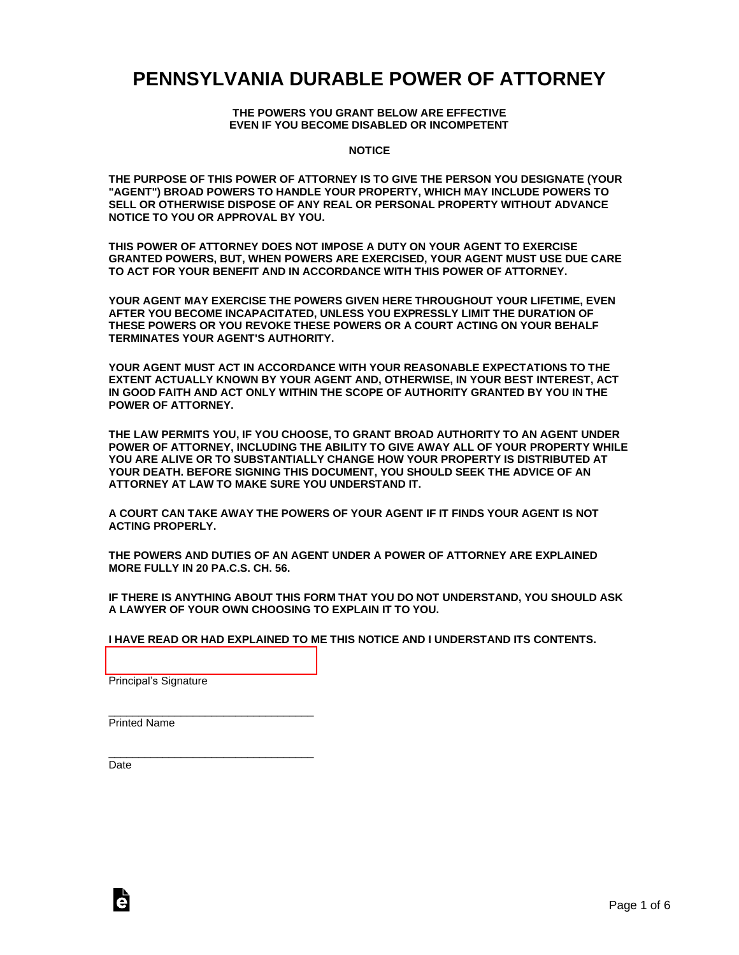# **PENNSYLVANIA DURABLE POWER OF ATTORNEY**

**THE POWERS YOU GRANT BELOW ARE EFFECTIVE EVEN IF YOU BECOME DISABLED OR INCOMPETENT**

**NOTICE**

**THE PURPOSE OF THIS POWER OF ATTORNEY IS TO GIVE THE PERSON YOU DESIGNATE (YOUR "AGENT") BROAD POWERS TO HANDLE YOUR PROPERTY, WHICH MAY INCLUDE POWERS TO SELL OR OTHERWISE DISPOSE OF ANY REAL OR PERSONAL PROPERTY WITHOUT ADVANCE NOTICE TO YOU OR APPROVAL BY YOU.**

**THIS POWER OF ATTORNEY DOES NOT IMPOSE A DUTY ON YOUR AGENT TO EXERCISE GRANTED POWERS, BUT, WHEN POWERS ARE EXERCISED, YOUR AGENT MUST USE DUE CARE TO ACT FOR YOUR BENEFIT AND IN ACCORDANCE WITH THIS POWER OF ATTORNEY.**

**YOUR AGENT MAY EXERCISE THE POWERS GIVEN HERE THROUGHOUT YOUR LIFETIME, EVEN AFTER YOU BECOME INCAPACITATED, UNLESS YOU EXPRESSLY LIMIT THE DURATION OF THESE POWERS OR YOU REVOKE THESE POWERS OR A COURT ACTING ON YOUR BEHALF TERMINATES YOUR AGENT'S AUTHORITY.**

**YOUR AGENT MUST ACT IN ACCORDANCE WITH YOUR REASONABLE EXPECTATIONS TO THE EXTENT ACTUALLY KNOWN BY YOUR AGENT AND, OTHERWISE, IN YOUR BEST INTEREST, ACT IN GOOD FAITH AND ACT ONLY WITHIN THE SCOPE OF AUTHORITY GRANTED BY YOU IN THE POWER OF ATTORNEY.**

**THE LAW PERMITS YOU, IF YOU CHOOSE, TO GRANT BROAD AUTHORITY TO AN AGENT UNDER POWER OF ATTORNEY, INCLUDING THE ABILITY TO GIVE AWAY ALL OF YOUR PROPERTY WHILE YOU ARE ALIVE OR TO SUBSTANTIALLY CHANGE HOW YOUR PROPERTY IS DISTRIBUTED AT YOUR DEATH. BEFORE SIGNING THIS DOCUMENT, YOU SHOULD SEEK THE ADVICE OF AN ATTORNEY AT LAW TO MAKE SURE YOU UNDERSTAND IT.**

**A COURT CAN TAKE AWAY THE POWERS OF YOUR AGENT IF IT FINDS YOUR AGENT IS NOT ACTING PROPERLY.**

**THE POWERS AND DUTIES OF AN AGENT UNDER A POWER OF ATTORNEY ARE EXPLAINED MORE FULLY IN 20 PA.C.S. CH. 56.**

**IF THERE IS ANYTHING ABOUT THIS FORM THAT YOU DO NOT UNDERSTAND, YOU SHOULD ASK A LAWYER OF YOUR OWN CHOOSING TO EXPLAIN IT TO YOU.**

**I HAVE READ OR HAD EXPLAINED TO ME THIS NOTICE AND I UNDERSTAND ITS CONTENTS.**

Principal's Signature

[\\_\\_\\_\\_\\_\\_\\_\\_\\_\\_\\_\\_\\_\\_\\_\\_\\_\\_\\_\\_\\_\\_\\_\\_\\_\\_\\_\\_\\_\\_\\_\\_\\_\\_](https://esign.com/)

\_\_\_\_\_\_\_\_\_\_\_\_\_\_\_\_\_\_\_\_\_\_\_\_\_\_\_\_\_\_\_\_\_\_

\_\_\_\_\_\_\_\_\_\_\_\_\_\_\_\_\_\_\_\_\_\_\_\_\_\_\_\_\_\_\_\_\_\_

Printed Name

Date

Ġ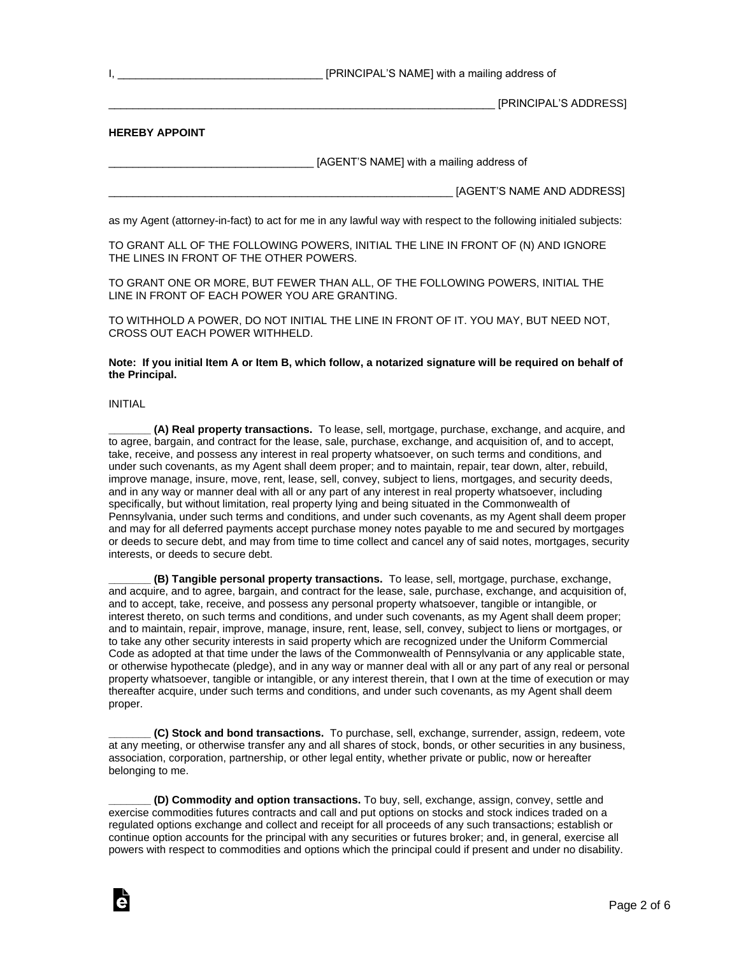| <b>IPRINCIPAL'S NAMEI with a mailing address of</b> |
|-----------------------------------------------------|
|                                                     |

\_\_\_\_\_\_\_\_\_\_\_\_\_\_\_\_\_\_\_\_\_\_\_\_\_\_\_\_\_\_\_\_\_\_\_\_\_\_\_\_\_\_\_\_\_\_\_\_\_\_\_\_\_\_\_\_\_\_\_\_\_\_\_\_ [PRINCIPAL'S ADDRESS]

#### **HEREBY APPOINT**

[AGENT'S NAME] with a mailing address of

[AGENT'S NAME AND ADDRESS]

as my Agent (attorney-in-fact) to act for me in any lawful way with respect to the following initialed subjects:

TO GRANT ALL OF THE FOLLOWING POWERS, INITIAL THE LINE IN FRONT OF (N) AND IGNORE THE LINES IN FRONT OF THE OTHER POWERS.

TO GRANT ONE OR MORE, BUT FEWER THAN ALL, OF THE FOLLOWING POWERS, INITIAL THE LINE IN FRONT OF EACH POWER YOU ARE GRANTING.

TO WITHHOLD A POWER, DO NOT INITIAL THE LINE IN FRONT OF IT. YOU MAY, BUT NEED NOT, CROSS OUT EACH POWER WITHHELD.

**Note: If you initial Item A or Item B, which follow, a notarized signature will be required on behalf of the Principal.**

INITIAL

Ġ

**\_\_\_\_\_\_\_ (A) Real property transactions.** To lease, sell, mortgage, purchase, exchange, and acquire, and to agree, bargain, and contract for the lease, sale, purchase, exchange, and acquisition of, and to accept, take, receive, and possess any interest in real property whatsoever, on such terms and conditions, and under such covenants, as my Agent shall deem proper; and to maintain, repair, tear down, alter, rebuild, improve manage, insure, move, rent, lease, sell, convey, subject to liens, mortgages, and security deeds, and in any way or manner deal with all or any part of any interest in real property whatsoever, including specifically, but without limitation, real property lying and being situated in the Commonwealth of Pennsylvania, under such terms and conditions, and under such covenants, as my Agent shall deem proper and may for all deferred payments accept purchase money notes payable to me and secured by mortgages or deeds to secure debt, and may from time to time collect and cancel any of said notes, mortgages, security interests, or deeds to secure debt.

**\_\_\_\_\_\_\_ (B) Tangible personal property transactions.** To lease, sell, mortgage, purchase, exchange, and acquire, and to agree, bargain, and contract for the lease, sale, purchase, exchange, and acquisition of, and to accept, take, receive, and possess any personal property whatsoever, tangible or intangible, or interest thereto, on such terms and conditions, and under such covenants, as my Agent shall deem proper; and to maintain, repair, improve, manage, insure, rent, lease, sell, convey, subject to liens or mortgages, or to take any other security interests in said property which are recognized under the Uniform Commercial Code as adopted at that time under the laws of the Commonwealth of Pennsylvania or any applicable state, or otherwise hypothecate (pledge), and in any way or manner deal with all or any part of any real or personal property whatsoever, tangible or intangible, or any interest therein, that I own at the time of execution or may thereafter acquire, under such terms and conditions, and under such covenants, as my Agent shall deem proper.

**\_\_\_\_\_\_\_ (C) Stock and bond transactions.** To purchase, sell, exchange, surrender, assign, redeem, vote at any meeting, or otherwise transfer any and all shares of stock, bonds, or other securities in any business, association, corporation, partnership, or other legal entity, whether private or public, now or hereafter belonging to me.

**\_\_\_\_\_\_\_ (D) Commodity and option transactions.** To buy, sell, exchange, assign, convey, settle and exercise commodities futures contracts and call and put options on stocks and stock indices traded on a regulated options exchange and collect and receipt for all proceeds of any such transactions; establish or continue option accounts for the principal with any securities or futures broker; and, in general, exercise all powers with respect to commodities and options which the principal could if present and under no disability.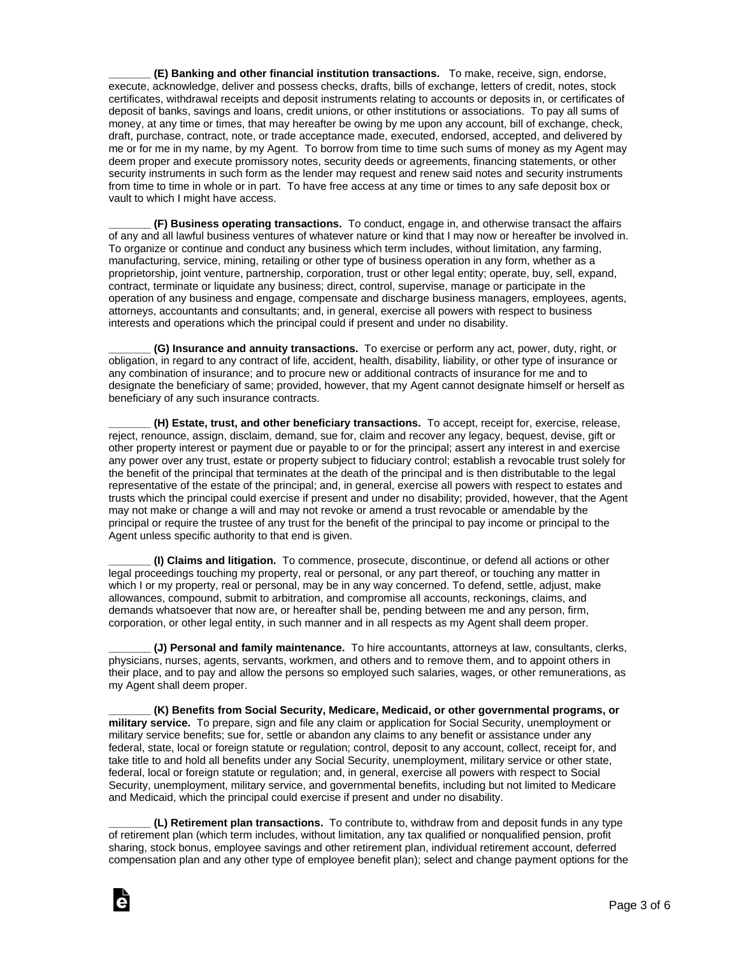**\_\_\_\_\_\_\_ (E) Banking and other financial institution transactions.** To make, receive, sign, endorse, execute, acknowledge, deliver and possess checks, drafts, bills of exchange, letters of credit, notes, stock certificates, withdrawal receipts and deposit instruments relating to accounts or deposits in, or certificates of deposit of banks, savings and loans, credit unions, or other institutions or associations. To pay all sums of money, at any time or times, that may hereafter be owing by me upon any account, bill of exchange, check, draft, purchase, contract, note, or trade acceptance made, executed, endorsed, accepted, and delivered by me or for me in my name, by my Agent. To borrow from time to time such sums of money as my Agent may deem proper and execute promissory notes, security deeds or agreements, financing statements, or other security instruments in such form as the lender may request and renew said notes and security instruments from time to time in whole or in part. To have free access at any time or times to any safe deposit box or vault to which I might have access.

**\_\_\_\_\_\_\_ (F) Business operating transactions.** To conduct, engage in, and otherwise transact the affairs of any and all lawful business ventures of whatever nature or kind that I may now or hereafter be involved in. To organize or continue and conduct any business which term includes, without limitation, any farming, manufacturing, service, mining, retailing or other type of business operation in any form, whether as a proprietorship, joint venture, partnership, corporation, trust or other legal entity; operate, buy, sell, expand, contract, terminate or liquidate any business; direct, control, supervise, manage or participate in the operation of any business and engage, compensate and discharge business managers, employees, agents, attorneys, accountants and consultants; and, in general, exercise all powers with respect to business interests and operations which the principal could if present and under no disability.

**\_\_\_\_\_\_\_ (G) Insurance and annuity transactions.** To exercise or perform any act, power, duty, right, or obligation, in regard to any contract of life, accident, health, disability, liability, or other type of insurance or any combination of insurance; and to procure new or additional contracts of insurance for me and to designate the beneficiary of same; provided, however, that my Agent cannot designate himself or herself as beneficiary of any such insurance contracts.

**\_\_\_\_\_\_\_ (H) Estate, trust, and other beneficiary transactions.** To accept, receipt for, exercise, release, reject, renounce, assign, disclaim, demand, sue for, claim and recover any legacy, bequest, devise, gift or other property interest or payment due or payable to or for the principal; assert any interest in and exercise any power over any trust, estate or property subject to fiduciary control; establish a revocable trust solely for the benefit of the principal that terminates at the death of the principal and is then distributable to the legal representative of the estate of the principal; and, in general, exercise all powers with respect to estates and trusts which the principal could exercise if present and under no disability; provided, however, that the Agent may not make or change a will and may not revoke or amend a trust revocable or amendable by the principal or require the trustee of any trust for the benefit of the principal to pay income or principal to the Agent unless specific authority to that end is given.

**\_\_\_\_\_\_\_ (I) Claims and litigation.** To commence, prosecute, discontinue, or defend all actions or other legal proceedings touching my property, real or personal, or any part thereof, or touching any matter in which I or my property, real or personal, may be in any way concerned. To defend, settle, adjust, make allowances, compound, submit to arbitration, and compromise all accounts, reckonings, claims, and demands whatsoever that now are, or hereafter shall be, pending between me and any person, firm, corporation, or other legal entity, in such manner and in all respects as my Agent shall deem proper.

**\_\_\_\_\_\_\_ (J) Personal and family maintenance.** To hire accountants, attorneys at law, consultants, clerks, physicians, nurses, agents, servants, workmen, and others and to remove them, and to appoint others in their place, and to pay and allow the persons so employed such salaries, wages, or other remunerations, as my Agent shall deem proper.

**\_\_\_\_\_\_\_ (K) Benefits from Social Security, Medicare, Medicaid, or other governmental programs, or military service.** To prepare, sign and file any claim or application for Social Security, unemployment or military service benefits; sue for, settle or abandon any claims to any benefit or assistance under any federal, state, local or foreign statute or regulation; control, deposit to any account, collect, receipt for, and take title to and hold all benefits under any Social Security, unemployment, military service or other state, federal, local or foreign statute or regulation; and, in general, exercise all powers with respect to Social Security, unemployment, military service, and governmental benefits, including but not limited to Medicare and Medicaid, which the principal could exercise if present and under no disability.

**\_\_\_\_\_\_\_ (L) Retirement plan transactions.** To contribute to, withdraw from and deposit funds in any type of retirement plan (which term includes, without limitation, any tax qualified or nonqualified pension, profit sharing, stock bonus, employee savings and other retirement plan, individual retirement account, deferred compensation plan and any other type of employee benefit plan); select and change payment options for the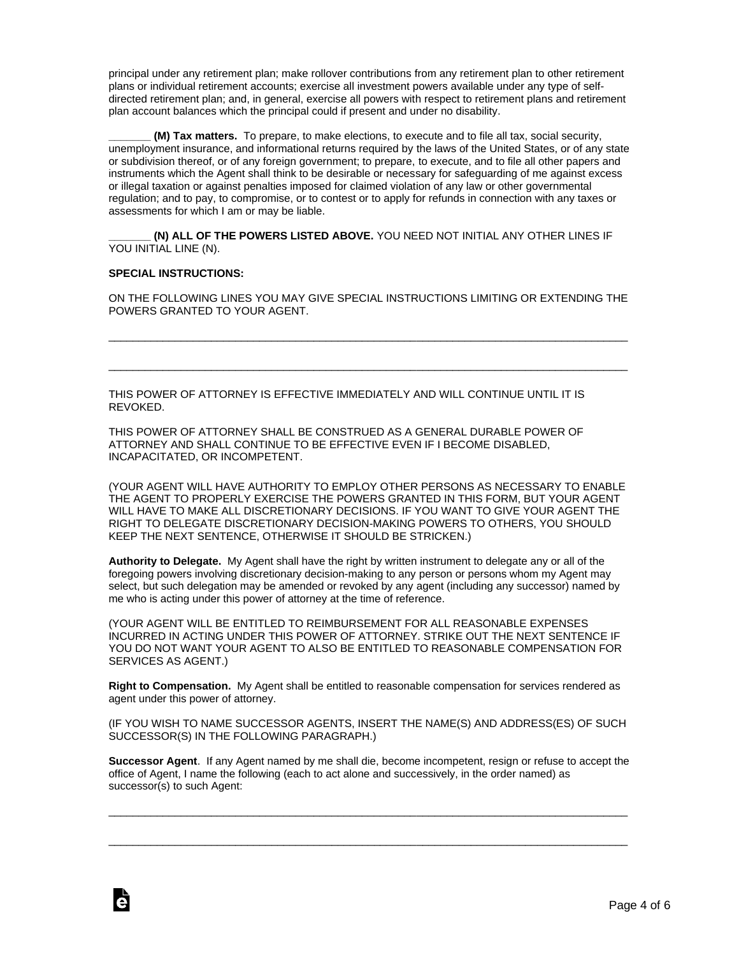principal under any retirement plan; make rollover contributions from any retirement plan to other retirement plans or individual retirement accounts; exercise all investment powers available under any type of selfdirected retirement plan; and, in general, exercise all powers with respect to retirement plans and retirement plan account balances which the principal could if present and under no disability.

**(M) Tax matters.** To prepare, to make elections, to execute and to file all tax, social security, unemployment insurance, and informational returns required by the laws of the United States, or of any state or subdivision thereof, or of any foreign government; to prepare, to execute, and to file all other papers and instruments which the Agent shall think to be desirable or necessary for safeguarding of me against excess or illegal taxation or against penalties imposed for claimed violation of any law or other governmental regulation; and to pay, to compromise, or to contest or to apply for refunds in connection with any taxes or assessments for which I am or may be liable.

**\_\_\_\_\_\_\_ (N) ALL OF THE POWERS LISTED ABOVE.** YOU NEED NOT INITIAL ANY OTHER LINES IF YOU INITIAL LINE (N).

#### **SPECIAL INSTRUCTIONS:**

ON THE FOLLOWING LINES YOU MAY GIVE SPECIAL INSTRUCTIONS LIMITING OR EXTENDING THE POWERS GRANTED TO YOUR AGENT.

 $\_$  ,  $\_$  ,  $\_$  ,  $\_$  ,  $\_$  ,  $\_$  ,  $\_$  ,  $\_$  ,  $\_$  ,  $\_$  ,  $\_$  ,  $\_$  ,  $\_$  ,  $\_$  ,  $\_$  ,  $\_$  ,  $\_$  ,  $\_$  ,  $\_$  ,  $\_$  ,  $\_$  ,  $\_$  ,  $\_$  ,  $\_$  ,  $\_$  ,  $\_$  ,  $\_$  ,  $\_$  ,  $\_$  ,  $\_$  ,  $\_$  ,  $\_$  ,  $\_$  ,  $\_$  ,  $\_$  ,  $\_$  ,  $\_$  ,

 $\_$  ,  $\_$  ,  $\_$  ,  $\_$  ,  $\_$  ,  $\_$  ,  $\_$  ,  $\_$  ,  $\_$  ,  $\_$  ,  $\_$  ,  $\_$  ,  $\_$  ,  $\_$  ,  $\_$  ,  $\_$  ,  $\_$  ,  $\_$  ,  $\_$  ,  $\_$  ,  $\_$  ,  $\_$  ,  $\_$  ,  $\_$  ,  $\_$  ,  $\_$  ,  $\_$  ,  $\_$  ,  $\_$  ,  $\_$  ,  $\_$  ,  $\_$  ,  $\_$  ,  $\_$  ,  $\_$  ,  $\_$  ,  $\_$  ,

THIS POWER OF ATTORNEY IS EFFECTIVE IMMEDIATELY AND WILL CONTINUE UNTIL IT IS REVOKED.

THIS POWER OF ATTORNEY SHALL BE CONSTRUED AS A GENERAL DURABLE POWER OF ATTORNEY AND SHALL CONTINUE TO BE EFFECTIVE EVEN IF I BECOME DISABLED, INCAPACITATED, OR INCOMPETENT.

(YOUR AGENT WILL HAVE AUTHORITY TO EMPLOY OTHER PERSONS AS NECESSARY TO ENABLE THE AGENT TO PROPERLY EXERCISE THE POWERS GRANTED IN THIS FORM, BUT YOUR AGENT WILL HAVE TO MAKE ALL DISCRETIONARY DECISIONS. IF YOU WANT TO GIVE YOUR AGENT THE RIGHT TO DELEGATE DISCRETIONARY DECISION-MAKING POWERS TO OTHERS, YOU SHOULD KEEP THE NEXT SENTENCE, OTHERWISE IT SHOULD BE STRICKEN.)

**Authority to Delegate.** My Agent shall have the right by written instrument to delegate any or all of the foregoing powers involving discretionary decision-making to any person or persons whom my Agent may select, but such delegation may be amended or revoked by any agent (including any successor) named by me who is acting under this power of attorney at the time of reference.

(YOUR AGENT WILL BE ENTITLED TO REIMBURSEMENT FOR ALL REASONABLE EXPENSES INCURRED IN ACTING UNDER THIS POWER OF ATTORNEY. STRIKE OUT THE NEXT SENTENCE IF YOU DO NOT WANT YOUR AGENT TO ALSO BE ENTITLED TO REASONABLE COMPENSATION FOR SERVICES AS AGENT.)

**Right to Compensation.** My Agent shall be entitled to reasonable compensation for services rendered as agent under this power of attorney.

(IF YOU WISH TO NAME SUCCESSOR AGENTS, INSERT THE NAME(S) AND ADDRESS(ES) OF SUCH SUCCESSOR(S) IN THE FOLLOWING PARAGRAPH.)

**Successor Agent**. If any Agent named by me shall die, become incompetent, resign or refuse to accept the office of Agent, I name the following (each to act alone and successively, in the order named) as successor(s) to such Agent:

 $\_$  ,  $\_$  ,  $\_$  ,  $\_$  ,  $\_$  ,  $\_$  ,  $\_$  ,  $\_$  ,  $\_$  ,  $\_$  ,  $\_$  ,  $\_$  ,  $\_$  ,  $\_$  ,  $\_$  ,  $\_$  ,  $\_$  ,  $\_$  ,  $\_$  ,  $\_$  ,  $\_$  ,  $\_$  ,  $\_$  ,  $\_$  ,  $\_$  ,  $\_$  ,  $\_$  ,  $\_$  ,  $\_$  ,  $\_$  ,  $\_$  ,  $\_$  ,  $\_$  ,  $\_$  ,  $\_$  ,  $\_$  ,  $\_$  ,

 $\_$  ,  $\_$  ,  $\_$  ,  $\_$  ,  $\_$  ,  $\_$  ,  $\_$  ,  $\_$  ,  $\_$  ,  $\_$  ,  $\_$  ,  $\_$  ,  $\_$  ,  $\_$  ,  $\_$  ,  $\_$  ,  $\_$  ,  $\_$  ,  $\_$  ,  $\_$  ,  $\_$  ,  $\_$  ,  $\_$  ,  $\_$  ,  $\_$  ,  $\_$  ,  $\_$  ,  $\_$  ,  $\_$  ,  $\_$  ,  $\_$  ,  $\_$  ,  $\_$  ,  $\_$  ,  $\_$  ,  $\_$  ,  $\_$  ,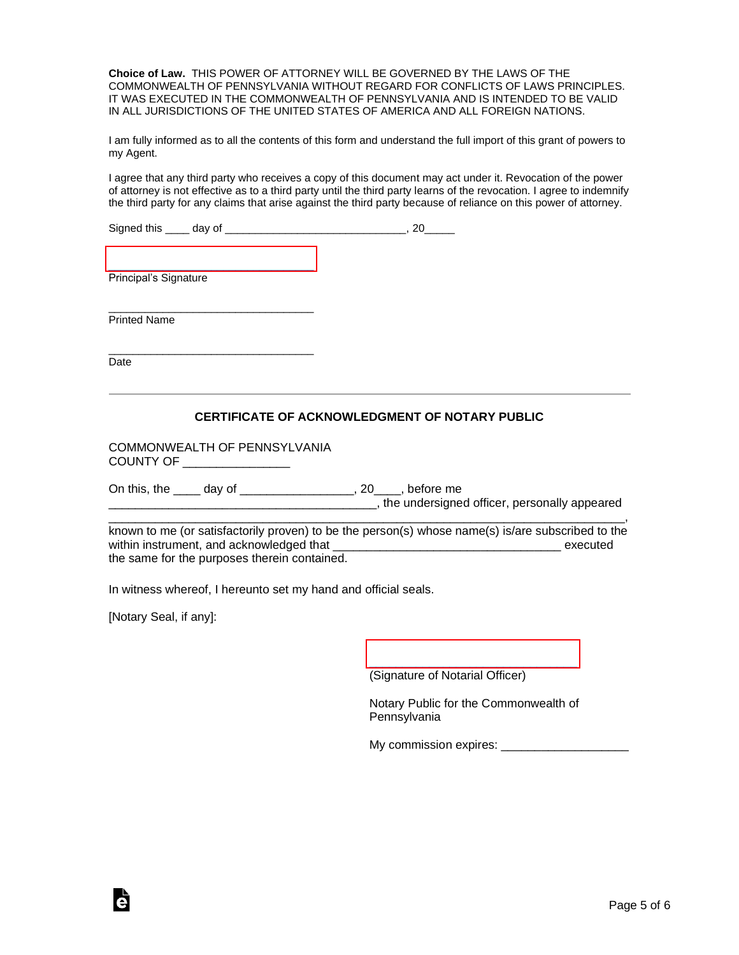**Choice of Law.** THIS POWER OF ATTORNEY WILL BE GOVERNED BY THE LAWS OF THE COMMONWEALTH OF PENNSYLVANIA WITHOUT REGARD FOR CONFLICTS OF LAWS PRINCIPLES. IT WAS EXECUTED IN THE COMMONWEALTH OF PENNSYLVANIA AND IS INTENDED TO BE VALID IN ALL JURISDICTIONS OF THE UNITED STATES OF AMERICA AND ALL FOREIGN NATIONS.

I am fully informed as to all the contents of this form and understand the full import of this grant of powers to my Agent.

I agree that any third party who receives a copy of this document may act under it. Revocation of the power of attorney is not effective as to a third party until the third party learns of the revocation. I agree to indemnify the third party for any claims that arise against the third party because of reliance on this power of attorney.

Signed this day of the state of the state of the state of the state of the state of the state of the state of the state of the state of the state of the state of the state of the state of the state of the state of the stat

 $\mathcal{L}=\{1,2,3,4,5\}$  , we can assume that the contribution of  $\mathcal{L}=\{1,2,3,4,5\}$ Principal's Signature

Printed Name

\_\_\_\_\_\_\_\_\_\_\_\_\_\_\_\_\_\_\_\_\_\_\_\_\_\_\_\_\_\_\_\_\_\_ **Date** 

## **CERTIFICATE OF ACKNOWLEDGMENT OF NOTARY PUBLIC**

COMMONWEALTH OF PENNSYLVANIA COUNTY OF \_\_\_\_\_\_\_\_\_\_\_\_\_\_\_\_\_\_\_

\_\_\_\_\_\_\_\_\_\_\_\_\_\_\_\_\_\_\_\_\_\_\_\_\_\_\_\_\_\_\_\_\_\_

On this, the \_\_\_\_ day of \_\_\_\_\_\_\_\_\_\_\_\_\_\_\_\_\_, 20\_\_\_\_, before me

**\_\_\_\_\_\_\_\_\_\_\_\_\_\_\_\_\_\_\_\_\_\_\_\_\_\_\_\_\_\_\_\_\_**, the undersigned officer, personally appeared

\_\_\_\_\_\_\_\_\_\_\_\_\_\_\_\_\_\_\_\_\_\_\_\_\_\_\_\_\_\_\_\_\_\_\_\_\_\_\_\_\_\_\_\_\_\_\_\_\_\_\_\_\_\_\_\_\_\_\_\_\_\_\_\_\_\_\_\_\_\_\_\_\_\_\_\_\_, known to me (or satisfactorily proven) to be the person(s) whose name(s) is/are subscribed to the within instrument, and acknowledged that \_\_\_\_\_\_\_\_\_\_\_\_\_\_\_\_\_\_\_\_\_\_\_\_\_\_\_\_\_\_\_\_\_\_ executed the same for the purposes therein contained.

In witness whereof, I hereunto set my hand and official seals.

[Notary Seal, if any]:

Ġ

(Signature of Notarial Officer)

Notary Public for the Commonwealth of Pennsylvania

[\\_\\_\\_\\_\\_\\_\\_\\_\\_\\_\\_\\_\\_\\_\\_\\_\\_\\_\\_\\_\\_\\_\\_\\_\\_\\_\\_\\_\\_\\_\\_](https://esign.com/)

My commission expires: **\_\_\_\_**